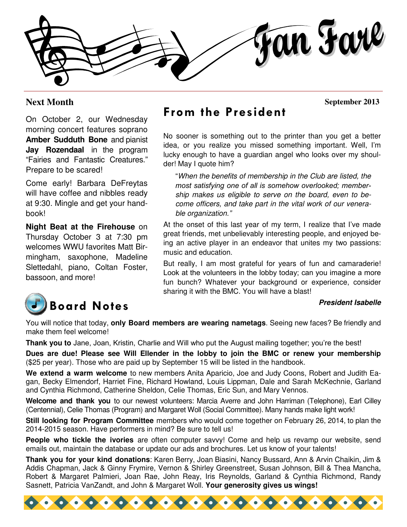fan Farl

#### **Next Month**

 **September 2013** 

On October 2, our Wednesday morning concert features soprano **Amber Sudduth Bone** and pianist **Jay Rozendaal** in the program "Fairies and Fantastic Creatures." Prepare to be scared!

Come early! Barbara DeFreytas will have coffee and nibbles ready at 9:30. Mingle and get your handbook!

**Night Beat at the Firehouse** on Thursday October 3 at 7:30 pm welcomes WWU favorites Matt Birmingham, saxophone, Madeline Slettedahl, piano, Coltan Foster, bassoon, and more!



### From the President

No sooner is something out to the printer than you get a better idea, or you realize you missed something important. Well, I'm lucky enough to have a guardian angel who looks over my shoulder! May I quote him?

"When the benefits of membership in the Club are listed, the most satisfying one of all is somehow overlooked; membership makes us eligible to serve on the board, even to become officers, and take part in the vital work of our venerable organization."

At the onset of this last year of my term, I realize that I've made great friends, met unbelievably interesting people, and enjoyed being an active player in an endeavor that unites my two passions: music and education.

But really, I am most grateful for years of fun and camaraderie! Look at the volunteers in the lobby today; can you imagine a more fun bunch? Whatever your background or experience, consider sharing it with the BMC. You will have a blast!

#### **President Isabelle**

You will notice that today, **only Board members are wearing nametags**. Seeing new faces? Be friendly and make them feel welcome!

**Thank you to** Jane, Joan, Kristin, Charlie and Will who put the August mailing together; you're the best!

**Dues are due! Please see Will Ellender in the lobby to join the BMC or renew your membership**  (\$25 per year). Those who are paid up by September 15 will be listed in the handbook.

**We extend a warm welcome** to new members Anita Aparicio, Joe and Judy Coons, Robert and Judith Eagan, Becky Elmendorf, Harriet Fine, Richard Howland, Louis Lippman, Dale and Sarah McKechnie, Garland and Cynthia Richmond, Catherine Sheldon, Celie Thomas, Eric Sun, and Mary Vennos.

**Welcome and thank you** to our newest volunteers: Marcia Averre and John Harriman (Telephone), Earl Cilley (Centennial), Celie Thomas (Program) and Margaret Woll (Social Committee). Many hands make light work!

**Still looking for Program Committee** members who would come together on February 26, 2014, to plan the 2014-2015 season. Have performers in mind? Be sure to tell us!

**People who tickle the ivories** are often computer savvy! Come and help us revamp our website, send emails out, maintain the database or update our ads and brochures. Let us know of your talents!

**Thank you for your kind donations**: Karen Berry, Joan Biasini, Nancy Bussard, Ann & Arvin Chaikin, Jim & Addis Chapman, Jack & Ginny Frymire, Vernon & Shirley Greenstreet, Susan Johnson, Bill & Thea Mancha, Robert & Margaret Palmieri, Joan Rae, John Reay, Iris Reynolds, Garland & Cynthia Richmond, Randy Sasnett, Patricia VanZandt, and John & Margaret Woll. **Your generosity gives us wings!**

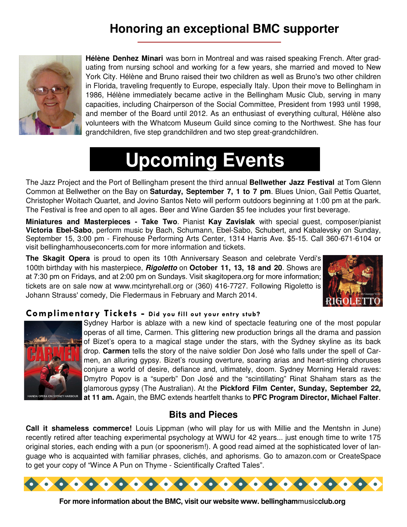### **Honoring an exceptional BMC supporter**



**Hélène Denhez Minari** was born in Montreal and was raised speaking French. After graduating from nursing school and working for a few years, she married and moved to New York City. Hélène and Bruno raised their two children as well as Bruno's two other children in Florida, traveling frequently to Europe, especially Italy. Upon their move to Bellingham in 1986, Hélène immediately became active in the Bellingham Music Club, serving in many capacities, including Chairperson of the Social Committee, President from 1993 until 1998, and member of the Board until 2012. As an enthusiast of everything cultural, Hélène also volunteers with the Whatcom Museum Guild since coming to the Northwest. She has four grandchildren, five step grandchildren and two step great-grandchildren.

# **Upcoming Events**

The Jazz Project and the Port of Bellingham present the third annual **Bellwether Jazz Festival** at Tom Glenn Common at Bellwether on the Bay on **Saturday, September 7, 1 to 7 pm**. Blues Union, Gail Pettis Quartet, Christopher Woitach Quartet, and Jovino Santos Neto will perform outdoors beginning at 1:00 pm at the park. The Festival is free and open to all ages. Beer and Wine Garden \$5 fee includes your first beverage.

**Miniatures and Masterpieces - Take Two**. Pianist **Kay Zavislak** with special guest, composer/pianist **Victoria Ebel-Sabo**, perform music by Bach, Schumann, Ebel-Sabo, Schubert, and Kabalevsky on Sunday, September 15, 3:00 pm - Firehouse Performing Arts Center, 1314 Harris Ave. \$5-15. Call 360-671-6104 or visit bellinghamhouseconcerts.com for more information and tickets.

**The Skagit Opera** is proud to open its 10th Anniversary Season and celebrate Verdi's 100th birthday with his masterpiece, **Rigoletto** on **October 11, 13, 18 and 20**. Shows are at 7:30 pm on Fridays, and at 2:00 pm on Sundays. Visit skagitopera.org for more information; tickets are on sale now at www.mcintyrehall.org or (360) 416-7727. Following Rigoletto is Johann Strauss' comedy, Die Fledermaus in February and March 2014.



#### Complimentary Tickets - Did you fill out your entry stub?



Sydney Harbor is ablaze with a new kind of spectacle featuring one of the most popular operas of all time, Carmen. This glittering new production brings all the drama and passion of Bizet's opera to a magical stage under the stars, with the Sydney skyline as its back drop. **Carmen** tells the story of the naive soldier Don José who falls under the spell of Carmen, an alluring gypsy. Bizet's rousing overture, soaring arias and heart-stirring choruses conjure a world of desire, defiance and, ultimately, doom. Sydney Morning Herald raves: Dmytro Popov is a "superb" Don José and the "scintillating" Rinat Shaham stars as the glamorous gypsy (The Australian). At the **Pickford Film Center, Sunday, September 22, at 11 am.** Again, the BMC extends heartfelt thanks to **PFC Program Director, Michael Falter**.

#### **Bits and Pieces**

**Call it shameless commerce!** Louis Lippman (who will play for us with Millie and the Mentshn in June) recently retired after teaching experimental psychology at WWU for 42 years... just enough time to write 175 original stories, each ending with a pun (or spoonerism!). A good read aimed at the sophisticated lover of language who is acquainted with familiar phrases, clichés, and aphorisms. Go to amazon.com or CreateSpace to get your copy of "Wince A Pun on Thyme - Scientifically Crafted Tales".



**For more information about the BMC, visit our website www. bellinghammusicclub.org**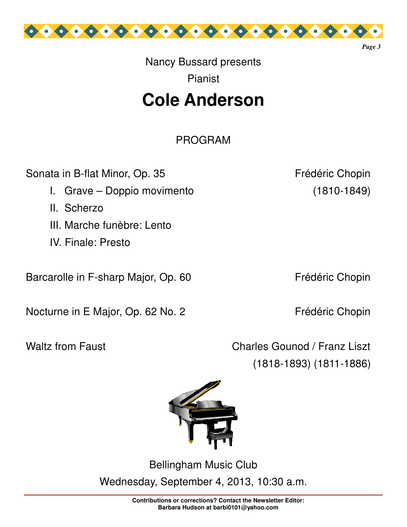

## Nancy Bussard presents Pianist

## **Cole Anderson**

PROGRAM

Sonata in B-flat Minor, Op. 35 Frédéric Chopin

- I. Grave Doppio movimento (1810-1849)
- II. Scherzo
- III. Marche funèbre: Lento
- IV. Finale: Presto

Barcarolle in F-sharp Major, Op. 60 Frédéric Chopin

Nocturne in E Major, Op. 62 No. 2 Frédéric Chopin

*Page 3* 

Waltz from Faust Charles Gounod / Franz Liszt (1818-1893) (1811-1886)



Bellingham Music Club Wednesday, September 4, 2013, 10:30 a.m.

> **Contributions or corrections? Contact the Newsletter Editor: Barbara Hudson at barbi0101@yahoo.com**